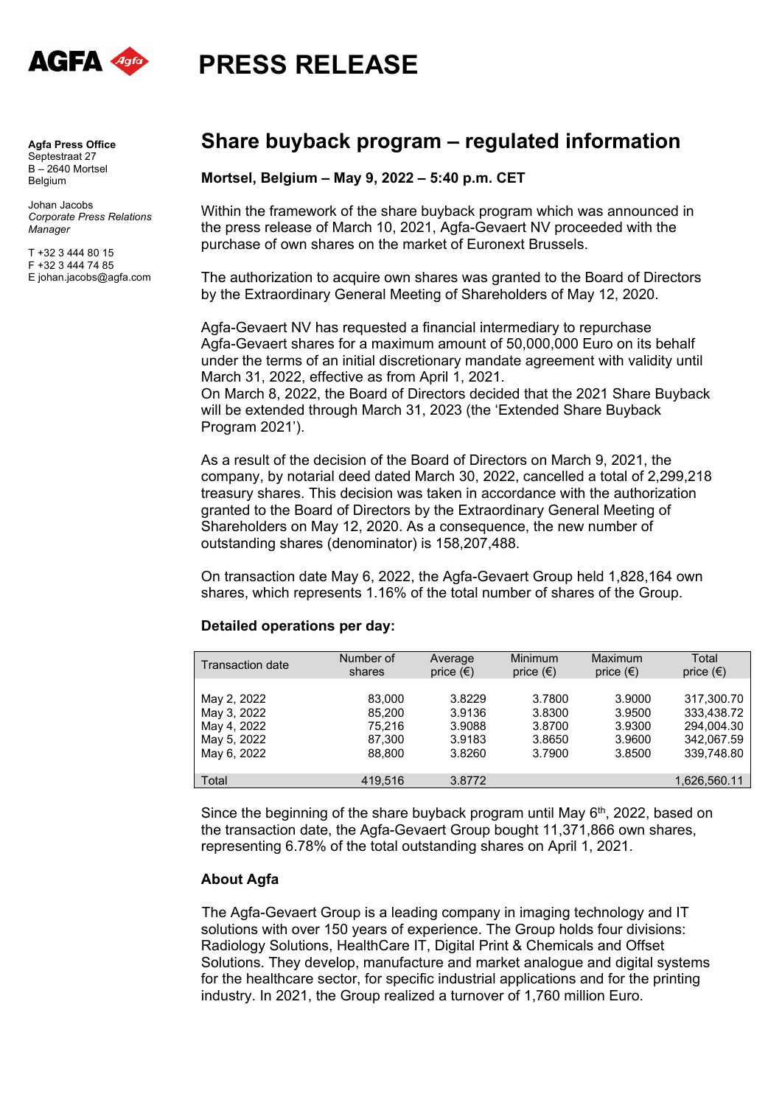

**PRESS RELEASE** 

**Agfa Press Office**  Septestraat 27 B – 2640 Mortsel Belgium

Johan Jacobs *Corporate Press Relations Manager*

T +32 3 444 80 15 F +32 3 444 74 85 E johan.jacobs@agfa.com

## **Share buyback program – regulated information**

## **Mortsel, Belgium – May 9, 2022 – 5:40 p.m. CET**

Within the framework of the share buyback program which was announced in the press release of March 10, 2021, Agfa-Gevaert NV proceeded with the purchase of own shares on the market of Euronext Brussels.

The authorization to acquire own shares was granted to the Board of Directors by the Extraordinary General Meeting of Shareholders of May 12, 2020.

Agfa-Gevaert NV has requested a financial intermediary to repurchase Agfa-Gevaert shares for a maximum amount of 50,000,000 Euro on its behalf under the terms of an initial discretionary mandate agreement with validity until March 31, 2022, effective as from April 1, 2021.

On March 8, 2022, the Board of Directors decided that the 2021 Share Buyback will be extended through March 31, 2023 (the 'Extended Share Buyback Program 2021').

As a result of the decision of the Board of Directors on March 9, 2021, the company, by notarial deed dated March 30, 2022, cancelled a total of 2,299,218 treasury shares. This decision was taken in accordance with the authorization granted to the Board of Directors by the Extraordinary General Meeting of Shareholders on May 12, 2020. As a consequence, the new number of outstanding shares (denominator) is 158,207,488.

On transaction date May 6, 2022, the Agfa-Gevaert Group held 1,828,164 own shares, which represents 1.16% of the total number of shares of the Group.

## **Detailed operations per day:**

| Transaction date | Number of | Average            | Minimum            | Maximum            | Total              |
|------------------|-----------|--------------------|--------------------|--------------------|--------------------|
|                  | shares    | price $(\epsilon)$ | price $(\epsilon)$ | price $(\epsilon)$ | price $(\epsilon)$ |
| May 2, 2022      | 83,000    | 3.8229             | 3.7800             | 3.9000             | 317.300.70         |
| May 3, 2022      | 85.200    | 3.9136             | 3.8300             | 3.9500             | 333.438.72         |
| May 4, 2022      | 75.216    | 3.9088             | 3.8700             | 3.9300             | 294.004.30         |
| May 5, 2022      | 87,300    | 3.9183             | 3.8650             | 3.9600             | 342,067.59         |
| May 6, 2022      | 88.800    | 3.8260             | 3.7900             | 3.8500             | 339.748.80         |
| Total            | 419.516   | 3.8772             |                    |                    | 1,626,560.11       |

Since the beginning of the share buyback program until May  $6<sup>th</sup>$ , 2022, based on the transaction date, the Agfa-Gevaert Group bought 11,371,866 own shares, representing 6.78% of the total outstanding shares on April 1, 2021.

## **About Agfa**

The Agfa-Gevaert Group is a leading company in imaging technology and IT solutions with over 150 years of experience. The Group holds four divisions: Radiology Solutions, HealthCare IT, Digital Print & Chemicals and Offset Solutions. They develop, manufacture and market analogue and digital systems for the healthcare sector, for specific industrial applications and for the printing industry. In 2021, the Group realized a turnover of 1,760 million Euro.